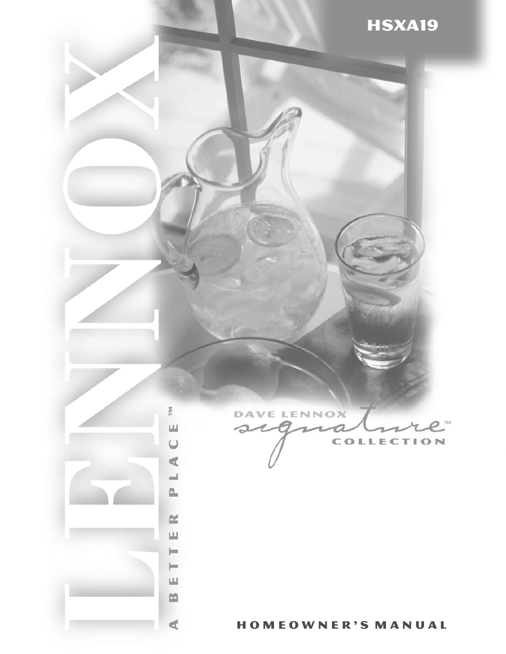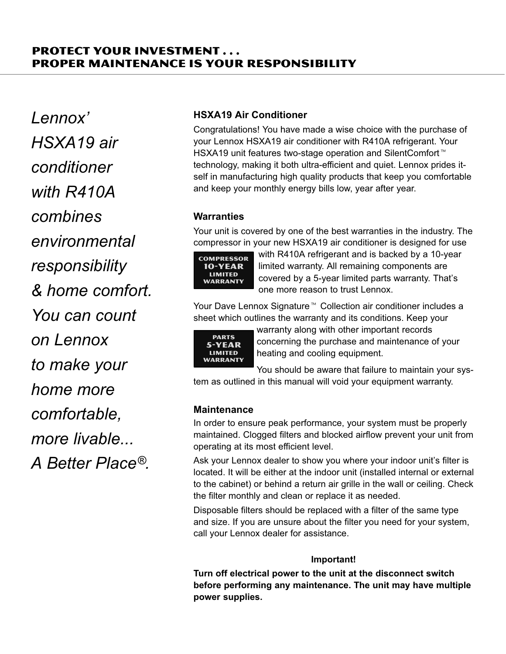# Protect Your Investment . . . Proper Maintenance is Your Responsibility

Lennox' HSXA19 air conditioner with R410A combines environmental responsibility & home comfort. You can count on Lennox to make your home more comfortable, more livable... A Better Place®.

## HSXA19 Air Conditioner

Congratulations! You have made a wise choice with the purchase of your Lennox HSXA19 air conditioner with R410A refrigerant. Your HSXA19 unit features two-stage operation and SilentComfort<sup>™</sup> technology, making it both ultra−efficient and quiet. Lennox prides itself in manufacturing high quality products that keep you comfortable and keep your monthly energy bills low, year after year.

# **Warranties**

Your unit is covered by one of the best warranties in the industry. The compressor in your new HSXA19 air conditioner is designed for use



with R410A refrigerant and is backed by a 10−year limited warranty. All remaining components are covered by a 5−year limited parts warranty. That's one more reason to trust Lennox.

Your Dave Lennox Signature<sup>™</sup> Collection air conditioner includes a sheet which outlines the warranty and its conditions. Keep your



warranty along with other important records concerning the purchase and maintenance of your heating and cooling equipment.

You should be aware that failure to maintain your system as outlined in this manual will void your equipment warranty.

## **Maintenance**

In order to ensure peak performance, your system must be properly maintained. Clogged filters and blocked airflow prevent your unit from operating at its most efficient level.

Ask your Lennox dealer to show you where your indoor unit's filter is located. It will be either at the indoor unit (installed internal or external to the cabinet) or behind a return air grille in the wall or ceiling. Check the filter monthly and clean or replace it as needed.

Disposable filters should be replaced with a filter of the same type and size. If you are unsure about the filter you need for your system, call your Lennox dealer for assistance.

## Important!

Turn off electrical power to the unit at the disconnect switch before performing any maintenance. The unit may have multiple power supplies.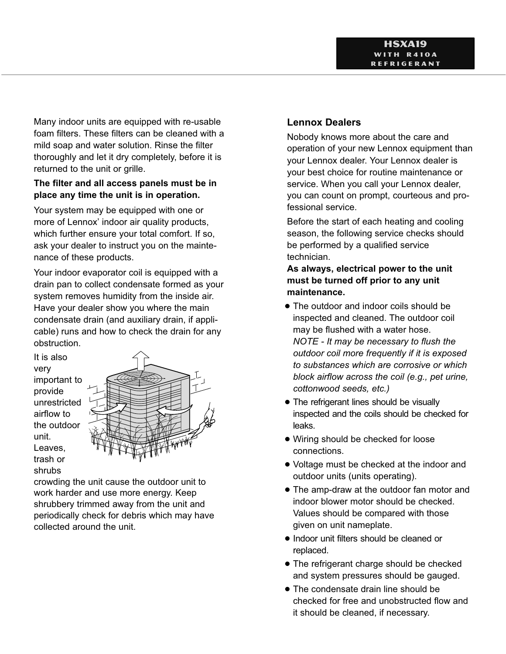Many indoor units are equipped with re-usable foam filters. These filters can be cleaned with a mild soap and water solution. Rinse the filter thoroughly and let it dry completely, before it is returned to the unit or grille.

## The filter and all access panels must be in place any time the unit is in operation.

Your system may be equipped with one or more of Lennox' indoor air quality products, which further ensure your total comfort. If so, ask your dealer to instruct you on the maintenance of these products.

Your indoor evaporator coil is equipped with a drain pan to collect condensate formed as your system removes humidity from the inside air. Have your dealer show you where the main condensate drain (and auxiliary drain, if applicable) runs and how to check the drain for any obstruction.

It is also very important to provide unrestricted airflow to the outdoor unit. Leaves, trash or shrubs



crowding the unit cause the outdoor unit to work harder and use more energy. Keep shrubbery trimmed away from the unit and periodically check for debris which may have collected around the unit.

# Lennox Dealers

Nobody knows more about the care and operation of your new Lennox equipment than your Lennox dealer. Your Lennox dealer is your best choice for routine maintenance or service. When you call your Lennox dealer, you can count on prompt, courteous and professional service.

Before the start of each heating and cooling season, the following service checks should be performed by a qualified service technician.

As always, electrical power to the unit must be turned off prior to any unit maintenance.

- **•** The outdoor and indoor coils should be inspected and cleaned. The outdoor coil may be flushed with a water hose. NOTE − It may be necessary to flush the outdoor coil more frequently if it is exposed to substances which are corrosive or which block airflow across the coil (e.g., pet urine, cottonwood seeds, etc.)
- The refrigerant lines should be visually inspected and the coils should be checked for leaks.
- · Wiring should be checked for loose connections.
- Voltage must be checked at the indoor and outdoor units (units operating).
- **•** The amp-draw at the outdoor fan motor and indoor blower motor should be checked. Values should be compared with those given on unit nameplate.
- Indoor unit filters should be cleaned or replaced.
- **The refrigerant charge should be checked** and system pressures should be gauged.
- **•** The condensate drain line should be checked for free and unobstructed flow and it should be cleaned, if necessary.